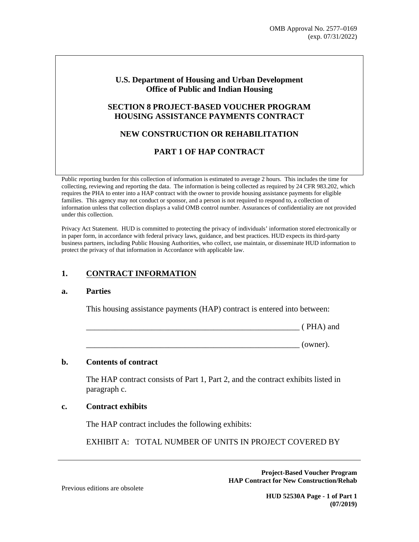### **U.S. Department of Housing and Urban Development Office of Public and Indian Housing**

### **SECTION 8 PROJECT-BASED VOUCHER PROGRAM HOUSING ASSISTANCE PAYMENTS CONTRACT**

# NEW CONSTRUCTION OR REHABILITATION

# **PART 1 OF HAP CONTRACT**

Public reporting burden for this collection of information is estimated to average 2 hours. This includes the time for collecting, reviewing and reporting the data. The information is being collected as required by 24 CFR 983.202, which requires the PHA to enter into a HAP contract with the owner to provide housing assistance payments for eligible families. This agency may not conduct or sponsor, and a person is not required to respond to, a collection of information unless that collection displays a valid OMB control number. Assurances of confidentiality are not provided under this collection.

Privacy Act Statement. HUD is committed to protecting the privacy of individuals' information stored electronically or in paper form, in accordance with federal privacy laws, guidance, and best practices. HUD expects its third-party business partners, including Public Housing Authorities, who collect, use maintain, or disseminate HUD information to protect the privacy of that information in Accordance with applicable law.

#### $1<sub>1</sub>$ **CONTRACT INFORMATION**

#### **Parties**  $\mathbf{a}$ .

This housing assistance payments (HAP) contract is entered into between:

(PHA) and

 $\frac{\ }{\ }$  (owner).

#### $h_{\cdot}$ **Contents of contract**

The HAP contract consists of Part 1, Part 2, and the contract exhibits listed in paragraph c.

#### **Contract exhibits**  $\mathbf{c}$ .

The HAP contract includes the following exhibits:

EXHIBIT A: TOTAL NUMBER OF UNITS IN PROJECT COVERED BY

**Project-Based Voucher Program HAP Contract for New Construction/Rehab** 

Previous editions are obsolete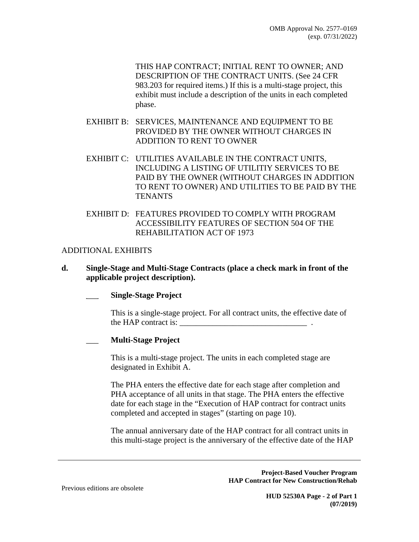THIS HAP CONTRACT: INITIAL RENT TO OWNER: AND DESCRIPTION OF THE CONTRACT UNITS. (See 24 CFR 983.203 for required items.) If this is a multi-stage project, this exhibit must include a description of the units in each completed phase.

- EXHIBIT B: SERVICES, MAINTENANCE AND EQUIPMENT TO BE PROVIDED BY THE OWNER WITHOUT CHARGES IN ADDITION TO RENT TO OWNER
- EXHIBIT C: UTILITIES AVAILABLE IN THE CONTRACT UNITS, INCLUDING A LISTING OF UTILITIY SERVICES TO BE PAID BY THE OWNER (WITHOUT CHARGES IN ADDITION TO RENT TO OWNER) AND UTILITIES TO BE PAID BY THE **TENANTS**
- EXHIBIT D: FEATURES PROVIDED TO COMPLY WITH PROGRAM ACCESSIBILITY FEATURES OF SECTION 504 OF THE REHABILITATION ACT OF 1973

### **ADDITIONAL EXHIBITS**

d. Single-Stage and Multi-Stage Contracts (place a check mark in front of the applicable project description).

### **Single-Stage Project**

This is a single-stage project. For all contract units, the effective date of the HAP contract is:

### **Multi-Stage Project**

This is a multi-stage project. The units in each completed stage are designated in Exhibit A.

The PHA enters the effective date for each stage after completion and PHA acceptance of all units in that stage. The PHA enters the effective date for each stage in the "Execution of HAP contract for contract units" completed and accepted in stages" (starting on page 10).

The annual anniversary date of the HAP contract for all contract units in this multi-stage project is the anniversary of the effective date of the HAP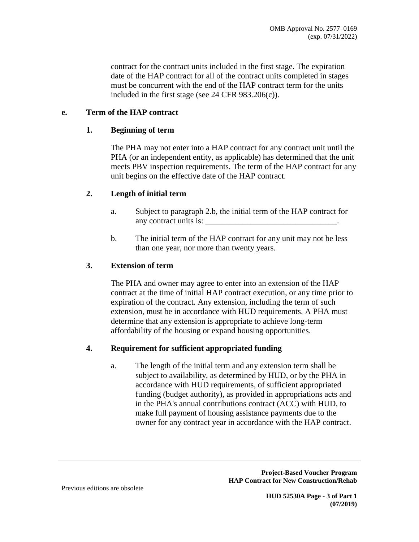contract for the contract units included in the first stage. The expiration date of the HAP contract for all of the contract units completed in stages must be concurrent with the end of the HAP contract term for the units included in the first stage (see 24 CFR  $983.206(c)$ ).

#### **Term of the HAP contract** e.

#### 1. **Beginning of term**

The PHA may not enter into a HAP contract for any contract unit until the PHA (or an independent entity, as applicable) has determined that the unit meets PBV inspection requirements. The term of the HAP contract for any unit begins on the effective date of the HAP contract.

#### $2.$ Length of initial term

- Subject to paragraph 2.b, the initial term of the HAP contract for  $\mathbf{a}$ . any contract units is:
- $h_{-}$ The initial term of the HAP contract for any unit may not be less than one year, nor more than twenty years.

#### $3<sub>1</sub>$ **Extension of term**

The PHA and owner may agree to enter into an extension of the HAP contract at the time of initial HAP contract execution, or any time prior to expiration of the contract. Any extension, including the term of such extension, must be in accordance with HUD requirements. A PHA must determine that any extension is appropriate to achieve long-term affordability of the housing or expand housing opportunities.

#### 4. **Requirement for sufficient appropriated funding**

The length of the initial term and any extension term shall be a. subject to availability, as determined by HUD, or by the PHA in accordance with HUD requirements, of sufficient appropriated funding (budget authority), as provided in appropriations acts and in the PHA's annual contributions contract (ACC) with HUD, to make full payment of housing assistance payments due to the owner for any contract year in accordance with the HAP contract.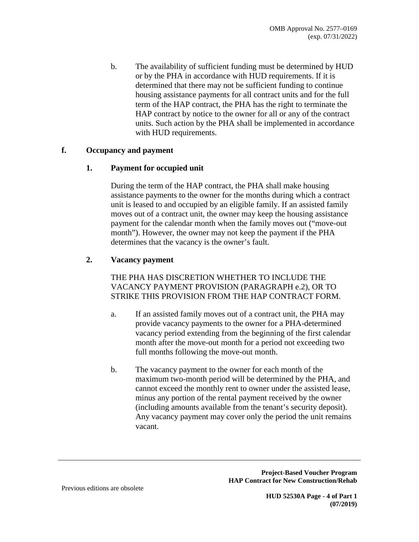$\mathbf{b}$ . The availability of sufficient funding must be determined by HUD or by the PHA in accordance with HUD requirements. If it is determined that there may not be sufficient funding to continue housing assistance payments for all contract units and for the full term of the HAP contract, the PHA has the right to terminate the HAP contract by notice to the owner for all or any of the contract units. Such action by the PHA shall be implemented in accordance with HUD requirements.

#### f. **Occupancy and payment**

#### $1<sub>1</sub>$ **Payment for occupied unit**

During the term of the HAP contract, the PHA shall make housing assistance payments to the owner for the months during which a contract unit is leased to and occupied by an eligible family. If an assisted family moves out of a contract unit, the owner may keep the housing assistance payment for the calendar month when the family moves out ("move-out" month"). However, the owner may not keep the payment if the PHA determines that the vacancy is the owner's fault.

#### $2.$ **Vacancy payment**

THE PHA HAS DISCRETION WHETHER TO INCLUDE THE VACANCY PAYMENT PROVISION (PARAGRAPH e.2), OR TO STRIKE THIS PROVISION FROM THE HAP CONTRACT FORM.

- If an assisted family moves out of a contract unit, the PHA may  $a<sub>z</sub>$ provide vacancy payments to the owner for a PHA-determined vacancy period extending from the beginning of the first calendar month after the move-out month for a period not exceeding two full months following the move-out month.
- $\mathbf{b}$ . The vacancy payment to the owner for each month of the maximum two-month period will be determined by the PHA, and cannot exceed the monthly rent to owner under the assisted lease, minus any portion of the rental payment received by the owner (including amounts available from the tenant's security deposit). Any vacancy payment may cover only the period the unit remains vacant.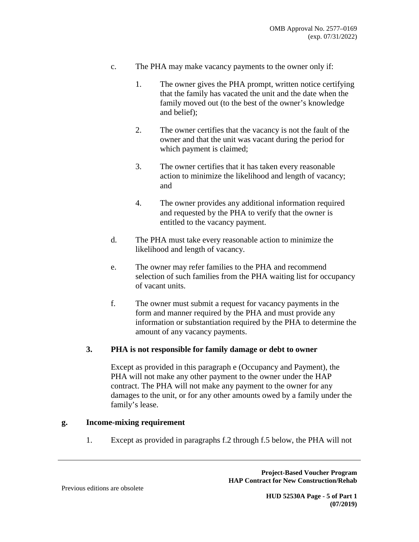- $\mathbf{c}$ . The PHA may make vacancy payments to the owner only if:
	- $1<sup>1</sup>$ The owner gives the PHA prompt, written notice certifying that the family has vacated the unit and the date when the family moved out (to the best of the owner's knowledge and belief);
	- 2. The owner certifies that the vacancy is not the fault of the owner and that the unit was vacant during the period for which payment is claimed;
	- 3. The owner certifies that it has taken every reasonable action to minimize the likelihood and length of vacancy; and
	- $\overline{4}$ The owner provides any additional information required and requested by the PHA to verify that the owner is entitled to the vacancy payment.
- $\mathbf{d}$ . The PHA must take every reasonable action to minimize the likelihood and length of vacancy.
- e. The owner may refer families to the PHA and recommend selection of such families from the PHA waiting list for occupancy of vacant units.
- $f_{\perp}$ The owner must submit a request for vacancy payments in the form and manner required by the PHA and must provide any information or substantiation required by the PHA to determine the amount of any vacancy payments.

#### **3.** PHA is not responsible for family damage or debt to owner

Except as provided in this paragraph e (Occupancy and Payment), the PHA will not make any other payment to the owner under the HAP contract. The PHA will not make any payment to the owner for any damages to the unit, or for any other amounts owed by a family under the family's lease.

#### **Income-mixing requirement** g.

Except as provided in paragraphs f.2 through f.5 below, the PHA will not 1.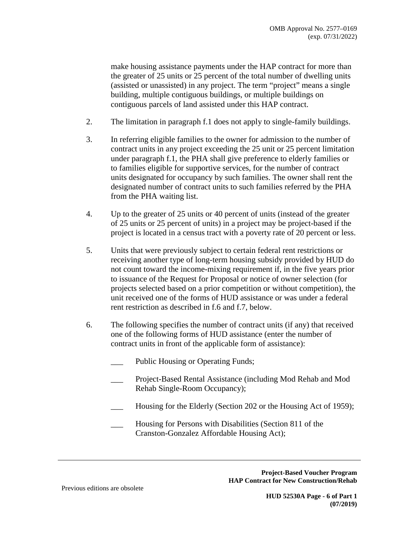make housing assistance payments under the HAP contract for more than the greater of 25 units or 25 percent of the total number of dwelling units (assisted or unassisted) in any project. The term "project" means a single building, multiple contiguous buildings, or multiple buildings on contiguous parcels of land assisted under this HAP contract.

- $2.$ The limitation in paragraph f.1 does not apply to single-family buildings.
- $\overline{3}$ . In referring eligible families to the owner for admission to the number of contract units in any project exceeding the 25 unit or 25 percent limitation under paragraph f.1, the PHA shall give preference to elderly families or to families eligible for supportive services, for the number of contract units designated for occupancy by such families. The owner shall rent the designated number of contract units to such families referred by the PHA from the PHA waiting list.
- $4.$ Up to the greater of 25 units or 40 percent of units (instead of the greater of 25 units or 25 percent of units) in a project may be project-based if the project is located in a census tract with a poverty rate of 20 percent or less.
- $5<sub>1</sub>$ Units that were previously subject to certain federal rent restrictions or receiving another type of long-term housing subsidy provided by HUD do not count toward the income-mixing requirement if, in the five years prior to issuance of the Request for Proposal or notice of owner selection (for projects selected based on a prior competition or without competition), the unit received one of the forms of HUD assistance or was under a federal rent restriction as described in f.6 and f.7, below.
- 6. The following specifies the number of contract units (if any) that received one of the following forms of HUD assistance (enter the number of contract units in front of the applicable form of assistance):
	- Public Housing or Operating Funds;
	- Project-Based Rental Assistance (including Mod Rehab and Mod Rehab Single-Room Occupancy);
	- Housing for the Elderly (Section 202 or the Housing Act of 1959);
	- Housing for Persons with Disabilities (Section 811 of the Cranston-Gonzalez Affordable Housing Act);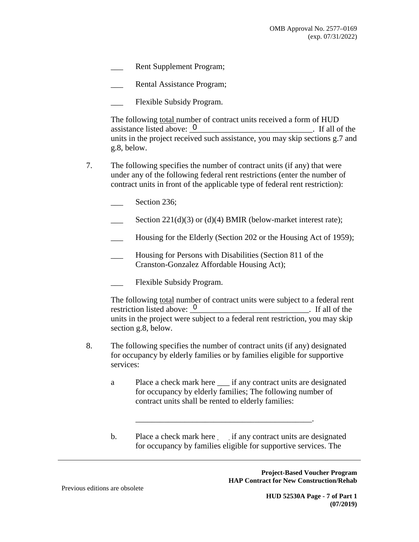- Rent Supplement Program;
- Rental Assistance Program;
- Flexible Subsidy Program.

The following total number of contract units received a form of HUD assistance listed above: 0  $\frac{1}{2}$  If all of the units in the project received such assistance, you may skip sections g.7 and g.8, below.

- 7. The following specifies the number of contract units (if any) that were under any of the following federal rent restrictions (enter the number of contract units in front of the applicable type of federal rent restriction):
	- Section 236;
	- Section  $221(d)(3)$  or (d)(4) BMIR (below-market interest rate);
	- Housing for the Elderly (Section 202 or the Housing Act of 1959);
	- Housing for Persons with Disabilities (Section 811 of the Cranston-Gonzalez Affordable Housing Act);
	- Flexible Subsidy Program.

The following total number of contract units were subject to a federal rent restriction listed above: 0 . If all of the units in the project were subject to a federal rent restriction, you may skip section g.8, below.

- 8. The following specifies the number of contract units (if any) designated for occupancy by elderly families or by families eligible for supportive services:
	- Place a check mark here \_\_\_\_ if any contract units are designated a for occupancy by elderly families; The following number of contract units shall be rented to elderly families:
	- Place a check mark here if any contract units are designated  $\mathbf b$ . for occupancy by families eligible for supportive services. The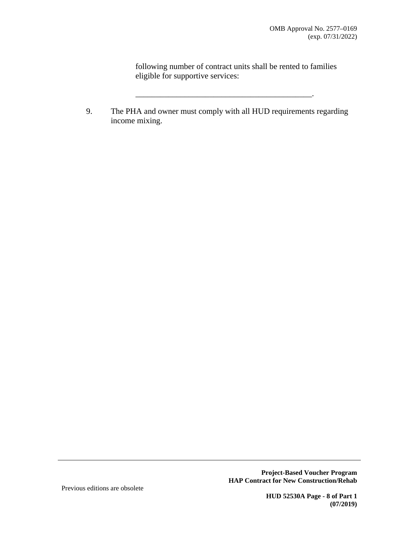$\overline{\phantom{a}}$ 

following number of contract units shall be rented to families eligible for supportive services:

The PHA and owner must comply with all HUD requirements regarding 9. income mixing.

> **Project-Based Voucher Program HAP Contract for New Construction/Rehab**

Previous editions are obsolete

**HUD 52530A Page - 8 of Part 1**  $(07/2019)$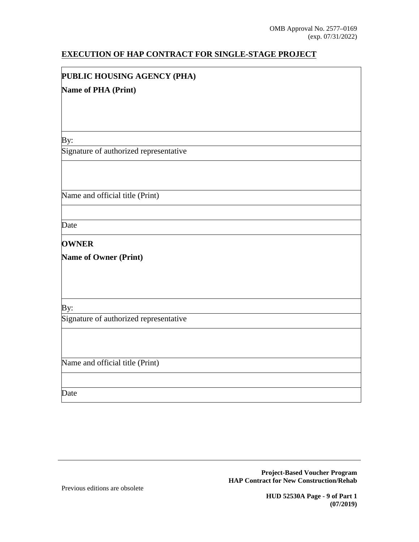# EXECUTION OF HAP CONTRACT FOR SINGLE-STAGE PROJECT

# PUBLIC HOUSING AGENCY (PHA)

### **Name of PHA (Print)**

By:

Signature of authorized representative

Name and official title (Print)

Date

### **OWNER**

**Name of Owner (Print)** 

By:

Signature of authorized representative

Name and official title (Print)

Date

**Project-Based Voucher Program HAP Contract for New Construction/Rehab** 

Previous editions are obsolete

**HUD 52530A Page - 9 of Part 1**  $(07/2019)$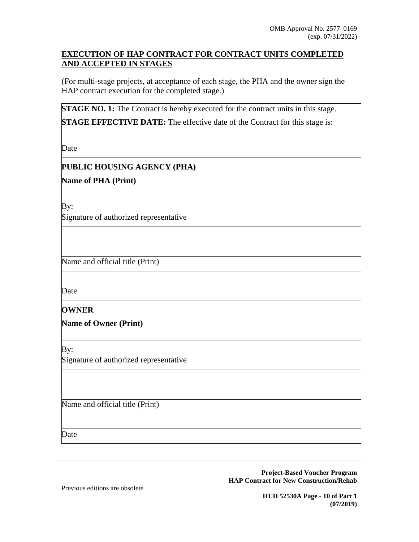## **EXECUTION OF HAP CONTRACT FOR CONTRACT UNITS COMPLETED** AND ACCEPTED IN STAGES

(For multi-stage projects, at acceptance of each stage, the PHA and the owner sign the HAP contract execution for the completed stage.)

**STAGE NO. 1:** The Contract is hereby executed for the contract units in this stage.

**STAGE EFFECTIVE DATE:** The effective date of the Contract for this stage is:

**Date** 

# PUBLIC HOUSING AGENCY (PHA)

**Name of PHA (Print)** 

By:

Signature of authorized representative

Name and official title (Print)

Date

### **OWNER**

**Name of Owner (Print)** 

By:

Signature of authorized representative

Name and official title (Print)

Date

**Project-Based Voucher Program HAP Contract for New Construction/Rehab** 

Previous editions are obsolete

**HUD 52530A Page - 10 of Part 1**  $(07/2019)$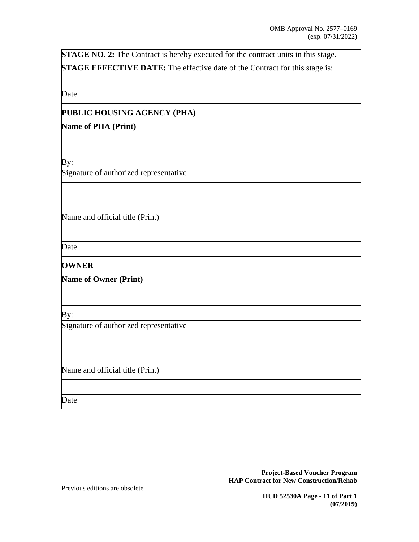STAGE NO. 2: The Contract is hereby executed for the contract units in this stage. **STAGE EFFECTIVE DATE:** The effective date of the Contract for this stage is:

Date

# PUBLIC HOUSING AGENCY (PHA)

### **Name of PHA (Print)**

By:

Signature of authorized representative

Name and official title (Print)

Date

# **OWNER**

**Name of Owner (Print)** 

By:

Signature of authorized representative

Name and official title (Print)

Date

**Project-Based Voucher Program HAP Contract for New Construction/Rehab** 

Previous editions are obsolete

**HUD 52530A Page - 11 of Part 1**  $(07/2019)$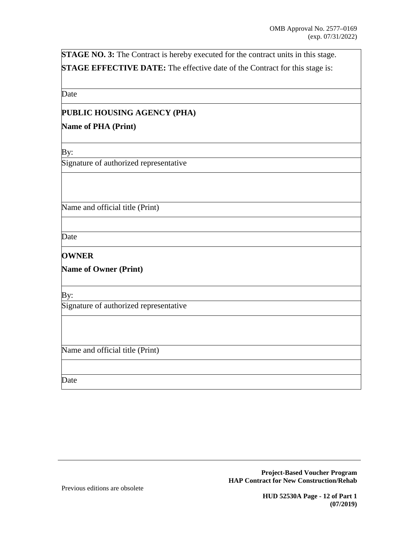STAGE NO. 3: The Contract is hereby executed for the contract units in this stage. **STAGE EFFECTIVE DATE:** The effective date of the Contract for this stage is:

Date

# PUBLIC HOUSING AGENCY (PHA)

### **Name of PHA (Print)**

By:

Signature of authorized representative

Name and official title (Print)

Date

# **OWNER**

**Name of Owner (Print)** 

 $\overline{By:}$ 

Signature of authorized representative

Name and official title (Print)

Date

Previous editions are obsolete

**HUD 52530A Page - 12 of Part 1**  $(07/2019)$